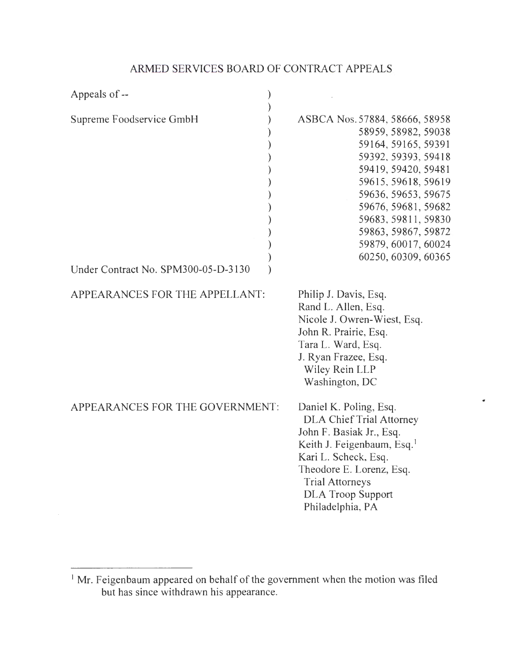# ARMED SERVICES BOARD OF CONTRACT APPEALS

| Appeals of --                                                   |                                                                                                                                                                                                                                                                                             |
|-----------------------------------------------------------------|---------------------------------------------------------------------------------------------------------------------------------------------------------------------------------------------------------------------------------------------------------------------------------------------|
| Supreme Foodservice GmbH<br>Under Contract No. SPM300-05-D-3130 | ASBCA Nos. 57884, 58666, 58958<br>58959, 58982, 59038<br>59164, 59165, 59391<br>59392, 59393, 59418<br>59419, 59420, 59481<br>59615, 59618, 59619<br>59636, 59653, 59675<br>59676, 59681, 59682<br>59683, 59811, 59830<br>59863, 59867, 59872<br>59879, 60017, 60024<br>60250, 60309, 60365 |
| APPEARANCES FOR THE APPELLANT:                                  | Philip J. Davis, Esq.<br>Rand L. Allen, Esq.<br>Nicole J. Owren-Wiest, Esq.<br>John R. Prairie, Esq.<br>Tara L. Ward, Esq.<br>J. Ryan Frazee, Esq.<br>Wiley Rein LLP<br>Washington, DC                                                                                                      |
| APPEARANCES FOR THE GOVERNMENT:                                 | Daniel K. Poling, Esq.<br><b>DLA Chief Trial Attorney</b><br>John F. Basiak Jr., Esq.<br>Keith J. Feigenbaum, Esq. <sup>1</sup><br>Kari L. Scheck, Esq.<br>Theodore E. Lorenz, Esq.<br><b>Trial Attorneys</b><br><b>DLA Troop Support</b><br>Philadelphia, PA                               |

 $\bullet$ 

 $\mathcal{A}^{\pm}$ 

 $<sup>1</sup>$  Mr. Feigenbaum appeared on behalf of the government when the motion was filed</sup> but has since withdrawn his appearance.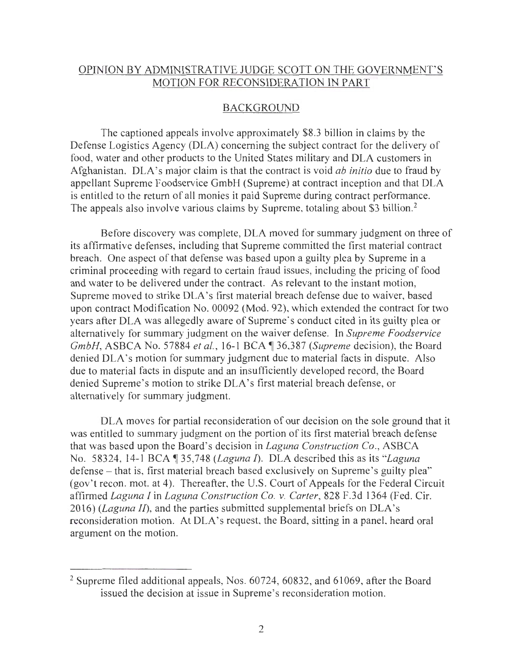## OPINION BY ADMINISTRATIVE JUDGE SCOTT ON THE GOVERNMENT'S MOTION FOR RECONSIDERATION IN PART

## BACKGROUND

The captioned appeals involve approximately \$8.3 billion in claims by the Defense Logistics Agency (DLA) concerning the subject contract for the delivery of food, water and other products to the United States military and DLA customers in Afghanistan. DLA's major claim is that the contract is void *ab initio* due to fraud by appellant Supreme Foodservice GmbH (Supreme) at contract inception and that DLA is entitled to the return of all monies it paid Supreme during contract performance. The appeals also involve various claims by Supreme, totaling about \$3 billion.<sup>2</sup>

Before discovery was complete, DLA moved for summary judgment on three of its affirmative defenses, including that Supreme committed the first material contract breach. One aspect of that defense was based upon a guilty plea by Supreme in a criminal proceeding with regard to certain fraud issues, including the pricing of food and water to be delivered under the contract. As relevant to the instant motion, Supreme moved to strike DLA's first material breach defense due to waiver, based upon contract Modification No. 00092 (Mod. 92), which extended the contract for two years after DLA was allegedly aware of Supreme's conduct cited in its guilty plea or alternatively for summary judgment on the waiver defense. In *Supreme Foodservice GmbH, ASBCA No. 57884 et al., 16-1 BCA ¶ 36,387 <i>(Supreme decision)*, the Board denied DLA's motion for summary judgment due to material facts in dispute. Also due to material facts in dispute and an insufficiently developed record, the Board denied Supreme's motion to strike DLA's first material breach defense, or alternatively for summary judgment.

DLA moves for partial reconsideration of our decision on the sole ground that it was entitled to summary judgment on the portion of its first material breach defense that was based upon the Board's decision in *Laguna Construction Co .,* ASBCA No. 58324, 14-1BCA~35 <sup>748</sup>*(Laguna I).* DLA described this as its *"Laguna*  defense - that is, first material breach based exclusively on Supreme's guilty plea" (gov't recon. mot. at 4). Thereafter, the U.S. Court of Appeals for the Federal Circuit affirmed *Laguna I* in *Laguna Construction Co. v. Carter,* 828 F.3d 1364 (Fed. Cir. 2016) *(Laguna JI),* and the parties submitted supplemental briefs on DLA's reconsideration motion. At DLA's request, the Board, sitting in a panel, heard oral argument on the motion.

<sup>&</sup>lt;sup>2</sup> Supreme filed additional appeals, Nos. 60724, 60832, and 61069, after the Board issued the decision at issue in Supreme's reconsideration motion.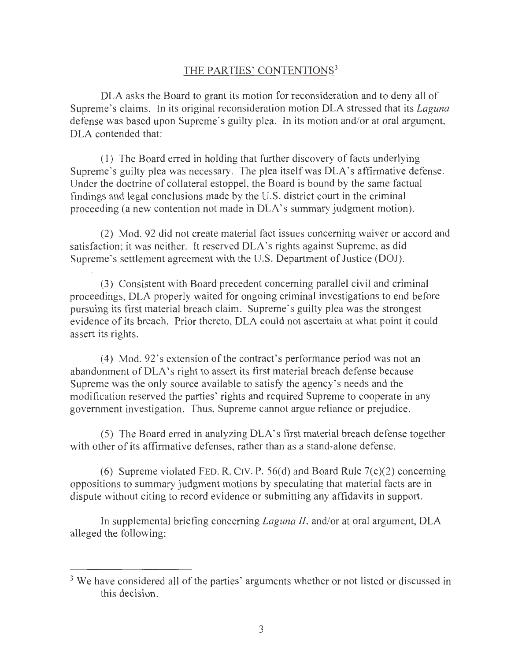## THE PARTIES' CONTENTIONS<sup>3</sup>

DLA asks the Board to grant its motion for reconsideration and to deny all of Supreme's claims. In its original reconsideration motion DLA stressed that its *Laguna*  defense was based upon Supreme's guilty plea. In its motion and/or at oral argument, DLA contended that:

( 1) The Board erred in holding that further discovery of facts underlying Supreme's guilty plea was necessary. The plea itself was DLA's affirmative defense. Under the doctrine of collateral estoppel, the Board is bound by the same factual findings and legal conclusions made by the U.S. district court in the criminal proceeding (a new contention not made in DLA's summary judgment motion).

(2) Mod. 92 did not create material fact issues concerning waiver or accord and satisfaction; it was neither. It reserved DLA's rights against Supreme, as did Supreme's settlement agreement with the U.S. Department of Justice (DOJ).

(3) Consistent with Board precedent concerning parallel civil and criminal proceedings, DLA properly waited for ongoing criminal investigations to end before pursuing its first material breach claim. Supreme's guilty plea was the strongest evidence of its breach. Prior thereto, DLA could not ascertain at what point it could assert its rights.

( 4) Mod. 92's extension of the contract's performance period was not an abandonment of DLA's right to assert its first material breach defense because Supreme was the only source available to satisfy the agency's needs and the modification reserved the parties' rights and required Supreme to cooperate in any government investigation. Thus, Supreme cannot argue reliance or prejudice.

(5) The Board erred in analyzing DLA's first material breach defense together with other of its affirmative defenses, rather than as a stand-alone defense.

(6) Supreme violated FED. R. CIV. P. 56(d) and Board Rule  $7(c)(2)$  concerning oppositions to summary judgment motions by speculating that material facts are in dispute without citing to record evidence or submitting any affidavits in support.

In supplemental briefing concerning *Laguna 11,* and/or at oral argument, DLA alleged the following:

<sup>&</sup>lt;sup>3</sup> We have considered all of the parties' arguments whether or not listed or discussed in this decision.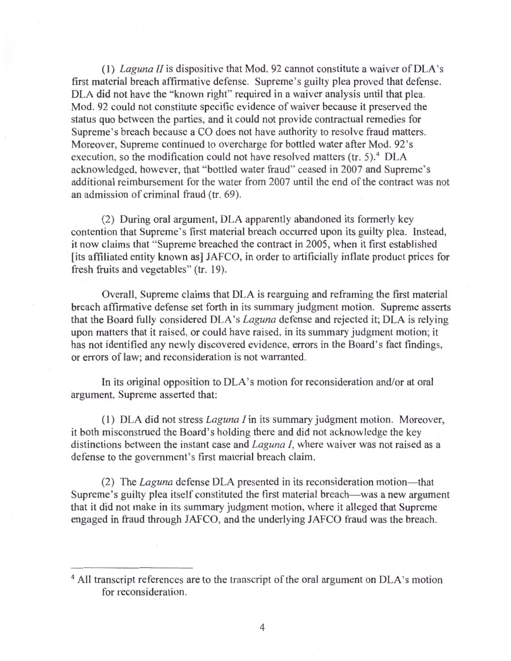(1) *Laguna II* is dispositive that Mod. 92 cannot constitute a waiver of DLA's first material breach affirmative defense. Supreme 's guilty plea proved that defense. DLA did not have the "known right" required in a waiver analysis until that plea. Mod. 92 could not constitute specific evidence of waiver because it preserved the status quo between the parties, and it could not provide contractual remedies for Supreme's breach because a CO does not have authority to resolve fraud matters. Moreover, Supreme continued to overcharge for bottled water after Mod. 92 's execution, so the modification could not have resolved matters (tr. 5).<sup>4</sup> DLA acknowledged, however, that "bottled water fraud" ceased in 2007 and Supreme's additional reimbursement for the water from 2007 until the end of the contract was not an admission of criminal fraud (tr. 69).

(2) During oral argument, DLA apparently abandoned its formerly key contention that Supreme 's first material breach occurred upon its guilty plea. Instead, it now claims that " Supreme breached the contract in 2005, when it first established [its affiliated entity known as] JAFCO, in order to artificially inflate product prices for fresh fruits and vegetables" (tr. 19).

Overall, Supreme claims that DLA is rearguing and reframing the first material breach affirmative defense set forth in its summary judgment motion. Supreme asserts that the Board fully considered DLA's *Laguna* defense and rejected it; DLA is relying upon matters that it raised, or could have raised, in its summary judgment motion; it has not identified any newly discovered evidence, errors in the Board's fact findings, or errors of law; and reconsideration is not warranted.

In its original opposition to DLA's motion for reconsideration and/or at oral argument, Supreme asserted that:

(I) DLA did not stress *Laguna I* in its summary judgment motion. Moreover, it both misconstrued the Board's holding there and did not acknowledge the key distinctions between the instant case and *Laguna I,* where waiver was not raised as a defense to the government's first material breach claim.

(2) The *Laguna* defense DLA presented in its reconsideration motion- that Supreme's guilty plea itself constituted the first material breach—was a new argument that it did not make in its summary judgment motion, where it alleged that Supreme engaged in fraud through JAFCO, and the underlying JAFCO fraud was the breach.

<sup>&</sup>lt;sup>4</sup> All transcript references are to the transcript of the oral argument on DLA's motion for reconsideration.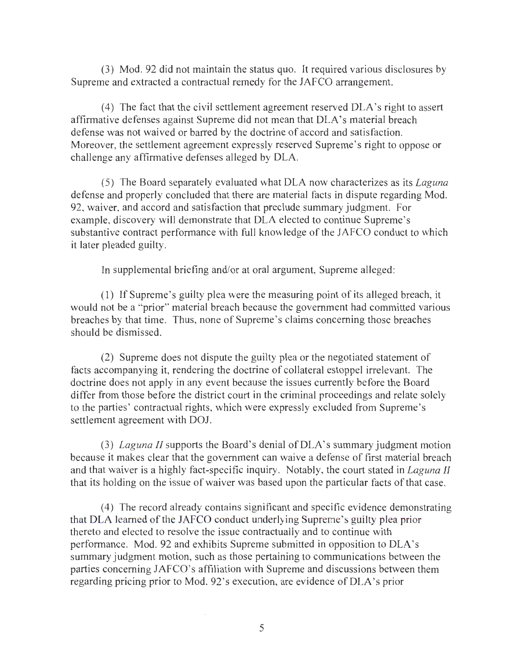(3) Mod. 92 did not maintain the status quo. It required various disclosures by Supreme and extracted a contractual remedy for the JAFCO arrangement.

(4) The fact that the civil settlement agreement reserved DLA's right to assert affirmative defenses against Supreme did not mean that DLA's material breach defense was not waived or barred by the doctrine of accord and satisfaction. Moreover, the settlement agreement expressly reserved Supreme's right to oppose or challenge any affirmative defenses alleged by DLA.

(5) The Board separately evaluated what DLA now characterizes as its *Laguna*  defense and properly concluded that there are material facts in dispute regarding Mod. 92, waiver, and accord and satisfaction that preclude summary judgment. For example, discovery will demonstrate that DLA elected to continue Supreme's substantive contract performance with full knowledge of the JAFCO conduct to which it later pleaded guilty.

In supplemental briefing and/or at oral argument, Supreme alleged:

(1) If Supreme's guilty plea were the measuring point of its alleged breach, it would not be a "prior" material breach because the government had committed various breaches by that time. Thus, none of Supreme's claims concerning those breaches should be dismissed.

(2) Supreme does not dispute the guilty plea or the negotiated statement of facts accompanying it, rendering the doctrine of collateral estoppel irrelevant. The doctrine does not apply in any event because the issues currently before the Board differ from those before the district court in the criminal proceedings and relate solely to the parties' contractual rights, which were expressly excluded from Supreme's settlement agreement with DOJ.

(3) *Laguna II* supports the Board's denial of DLA's summary judgment motion because it makes clear that the government can waive a defense of first material breach and that waiver is a highly fact-specific inquiry. Notably, the court stated in *Laguna II*  that its holding on the issue of waiver was based upon the particular facts of that case.

( 4) The record already contains significant and speci fie evidence demonstrating that DLA learned of the JAFCO conduct underlying Supreme's guilty plea prior thereto and elected to resolve the issue contractually and to continue with performance. Mod. 92 and exhibits Supreme submitted in opposition to DLA's summary judgment motion, such as those pertaining to communications between the parties concerning JAFCO's affiliation with Supreme and discussions between them regarding pricing prior to Mod. 92's execution, are evidence of DLA's prior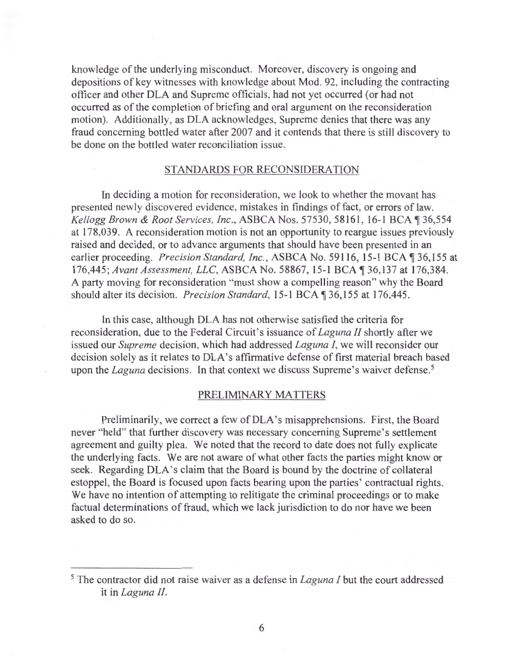knowledge of the underlying misconduct. Moreover, discovery is ongoing and depositions of key witnesses with knowledge about Mod. 92, including the contracting officer and other DLA and Supreme officials, had not yet occurred (or had not occurred as of the completion of briefing and oral argument on the reconsideration motion). Additionally, as DLA acknowledges, Supreme denies that there was any fraud concerning bottled water after 2007 and it contends that there is still discovery to be done on the bottled water reconciliation issue.

#### STANDARDS FOR RECONSIDERATION

In deciding a motion for reconsideration, we look to whether the movant has presented newly discovered evidence, mistakes in findings of fact, or errors of law. *Kellogg Brown & Root Services, Inc., ASBCA Nos.* 57530, 58161, 16-1 BCA 136,554 at 178,039. A reconsideration motion is not an opportunity to reargue issues previously raised and decided, or to advance arguments that should have been presented in an earlier proceeding. *Precision Standard, Inc.*, ASBCA No. 59116, 15-1 BCA 136,155 at 176,445; Avant Assessment, LLC, ASBCA No. 58867, 15-1 BCA 136,137 at 176,384. A party moving for reconsideration "must show a compelling reason" why the Board should alter its decision. *Precision Standard*, 15-1 BCA ¶ 36, 155 at 176, 445.

In this case, although DLA has not otherwise satisfied the criteria for reconsideration, due to the Federal Circuit's issuance of *Laguna II* shortly after we issued our *Supreme* decision, which had addressed *Laguna I,* we will reconsider our decision solely as it relates to DLA 's affirmative defense of first material breach based upon the *Laguna* decisions. In that context we discuss Supreme's waiver defense.<sup>5</sup>

#### PRELIMINARY MATTERS

Preliminarily, we correct a few of DLA's misapprehensions. First, the Board never "held" that further discovery was necessary concerning Supreme's settlement agreement and guilty plea. We noted that the record to date does not fully explicate the underlying facts. We are not aware of what other facts the parties might know or seek. Regarding DLA's claim that the Board is bound by the doctrine of collateral estoppel, the Board is focused upon facts bearing upon the parties' contractual rights. We have no intention of attempting to relitigate the criminal proceedings or to make factual determinations of fraud, which we lack jurisdiction to do nor have we been asked to do so.

<sup>5</sup> The contractor did not raise waiver as a defense in *Laguna I* but the court addressed it in *Laguna II.*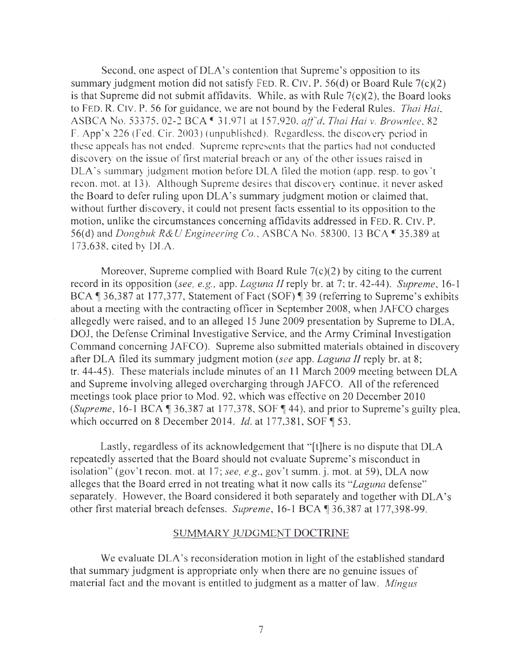Second, one aspect of DLA's contention that Supreme's opposition to its summary judgment motion did not satisfy FED. R. CIY. P. 56(d) or Board Rule 7(c)(2) is that Supreme did not submit affidavits. While, as with Rule  $7(c)(2)$ , the Board looks to FED. R. C1v. P. 56 for guidance, we are not bound by the Federal Rules. *Thai Hai,*  ASBCA No. 53375. 02-2 BCA ~ 31.971 at 15 7.920, *aff"d. Thai Hai v. Brownlee.* 82 F. App'x 226 (Fed. Cir. 2003) (unpublished). Regardless. the discovery period in these appeals has not ended. Supreme represents that the parties had not conducted discovery on the issue of first material breach or any of the other issues raised in DLA's summary judgment motion before DLA filed the motion (app. resp. to gov't recon. mot. at 13). Although Supreme desires that discovery continue, it never asked the Board to defer ruling upon DLA's summary judgment motion or claimed that, without further discovery, it could not present facts essential to its opposition to the motion, unlike the circumstances concerning affidavits addressed in FED. R. C1v. P. 56(d) and *Dongbuk R&U Engineering Co.*, ASBCA No. 58300, 13 BCA 135,389 at 173.638, cited by DLA.

Moreover, Supreme complied with Board Rule  $7(c)(2)$  by citing to the current record in its opposition *(see, e.g.,* app. *Laguna* //reply br. at 7; tr. 42-44). *Supreme ,* 16-1 BCA ¶ 36,387 at 177,377, Statement of Fact (SOF) ¶ 39 (referring to Supreme's exhibits about a meeting with the contracting officer in September 2008, when JAFCO charges allegedly were raised, and to an alleged 15 June 2009 presentation by Supreme to DLA, DOJ, the Defense Criminal Investigative Service, and the Army Criminal Investigation Command concerning JAFCO). Supreme also submitted materials obtained in discovery after DLA filed its summary judgment motion *(see* app. *Laguna II* reply br. at 8; tr. 44-45). These materials include minutes of an 11 March 2009 meeting between DLA and Supreme involving alleged overcharging through JAFCO. All of the referenced meetings took place prior to Mod. 92, which was effective on 20 December 2010 *(Supreme, 16-1 BCA*  $\sqrt{ }$  36,387 at 177,378, SOF  $\sqrt{ }$  44), and prior to Supreme's guilty plea, which occurred on 8 December 2014. *Id.* at 177,381, SOF 153.

Lastly, regardless of its acknowledgement that "[t]here is no dispute that DLA repeatedly asserted that the Board should not evaluate Supreme's misconduct in isolation" (gov't recon. mot. at 17; *see, e.g.*, gov't summ. j. mot. at 59), DLA now alleges that the Board erred in not treating what it now calls its *"Laguna* defense" separately. However, the Board considered it both separately and together with DLA's other first material breach defenses. *Supreme*, 16-1 BCA ¶ 36,387 at 177,398-99.

#### SUMMARY JUDGMENT DOCTRINE

We evaluate DLA's reconsideration motion in light of the established standard that summary judgment is appropriate only when there are no genuine issues of material fact and the movant is entitled to judgment as a matter of law. *Mingus*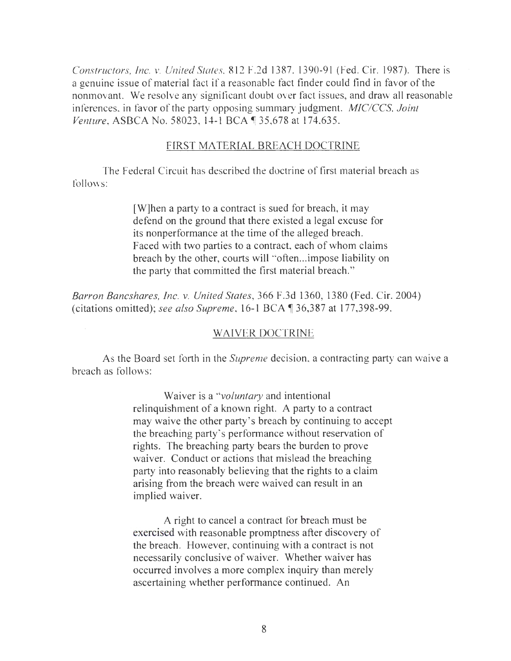*Constructors, Inc. v. United States, 812 F.2d 1387, 1390-91 (Fed. Cir. 1987). There is* a genuine issue of material fact if a reasonable fact finder could find in favor of the nonmovant. We resolve any significant doubt over fact issues, and draw all reasonable inferences, in favor of the party opposing summary judgment. *MIC/CCS*, *Joint Venture, ASBCA No.* 58023, 14-1 BCA ¶ 35,678 at 174,635.

#### FIRST MATERIAL BREACH DOCTRINE

The Federal Circuit has described the doctrine of first material breach as follows:

> [W]hen a party to a contract is sued for breach, it may defend on the ground that there existed a legal excuse for its nonperformance at the time of the alleged breach. Faced with two parties to a contract, each of whom claims breach by the other, courts will "often...impose liability on the party that committed the first material breach."

*Barron Bancshares, Inc. v. United States,* 366 F.3d 1360, 1380 (Fed. Cir. 2004) (citations omitted); see also Supreme, 16-1 BCA ¶ 36,387 at 177,398-99.

#### WAIVER DOCTRINE

As the Board set forth in the *Supreme* decision, a contracting party can waive a breach as follows:

> Waiver is a *"voluntary* and intentional relinquishment of a known right. A party to a contract may waive the other party's breach by continuing to accept the breaching party's performance without reservation of rights. The breaching party bears the burden to prove waiver. Conduct or actions that mislead the breaching party into reasonably believing that the rights to a claim arising from the breach were waived can result in an implied waiver.

A right to cancel a contract for breach must be exercised with reasonable promptness after discovery of the breach. However, continuing with a contract is not necessarily conclusive of waiver. Whether waiver has occurred involves a more complex inquiry than merely ascertaining whether performance continued. An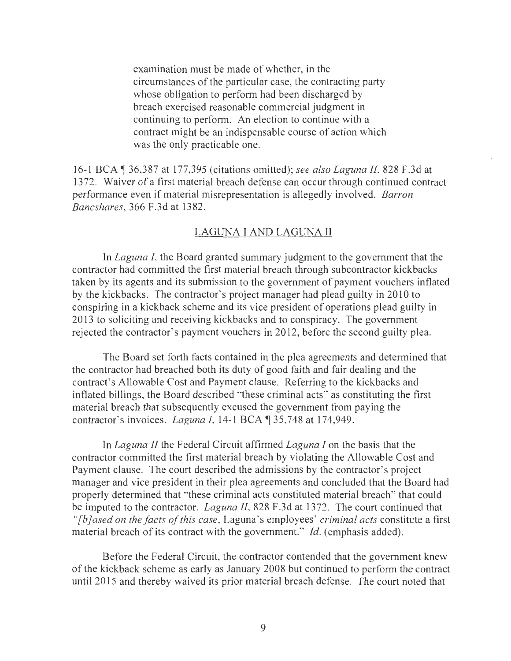examination must be made of whether, in the circumstances of the particular case, the contracting party whose obligation to perform had been discharged by breach exercised reasonable commercial judgment in continuing to perform. An election to continue with a contract might be an indispensable course of action which was the only practicable one.

16-1 BCA <sup>1</sup> 36,387 at 177,395 (citations omitted); *see also Laguna II*, 828 F.3d at 1372. Waiver of a first material breach defense can occur through continued contract performance even if material misrepresentation is allegedly involved. *Barron Bancshares,* 366 F.3d at 1382.

### LAGUNA I AND LAGUNA II

In *Laguna I*, the Board granted summary judgment to the government that the contractor had committed the first material breach through subcontractor kickbacks taken by its agents and its submission to the government of payment vouchers inflated by the kickbacks. The contractor's project manager had plead guilty in 2010 to conspiring in a kickback scheme and its vice president of operations plead guilty in 2013 to soliciting and receiving kickbacks and to conspiracy. The government rejected the contractor's payment vouchers in 2012, before the second guilty plea.

The Board set forth facts contained in the plea agreements and determined that the contractor had breached both its duty of good faith and fair dealing and the contract's Allowable Cost and Payment clause. Referring to the kickbacks and inflated billings, the Board described "these criminal acts" as constituting the first material breach that subsequently excused the government from paying the contractor's invoices. *Laguna 1*, 14-1 BCA  $\parallel$  35,748 at 174,949.

In *Laguna II* the Federal Circuit affirmed *Laguna I* on the basis that the contractor committed the first material breach by violating the Allowable Cost and Payment clause. The court described the admissions by the contractor's project manager and vice president in their plea agreements and concluded that the Board had properly determined that "these criminal acts constituted material breach" that could be imputed to the contractor. *Laguna II*, 828 F.3d at 1372. The court continued that *''[b]ased on the facts of this case,* Laguna's employees' *criminal acts* constitute a first material breach of its contract with the government." *Id.* (emphasis added).

Before the Federal Circuit, the contractor contended that the government knew of the kickback scheme as early as January 2008 but continued to perform the contract until 2015 and thereby waived its prior material breach defense. The court noted that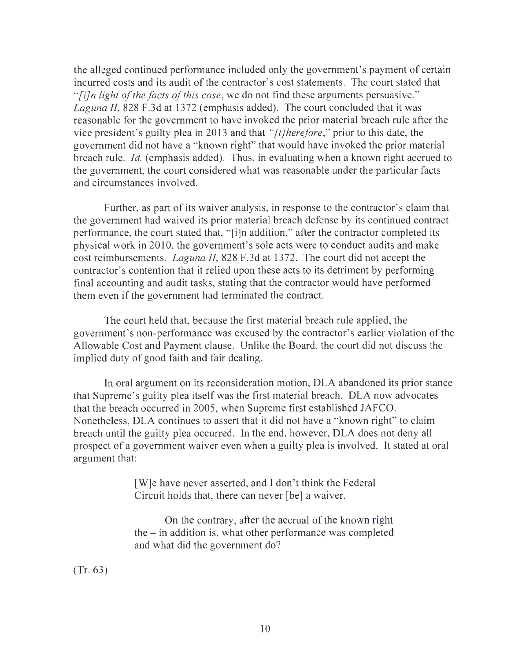the alleged continued performance included only the government's payment of certain incurred costs and its audit of the contractor's cost statements. The court stated that *"[i]n light of the facts of this case,* we do not find these arguments persuasive." *Laguna II,* 828 F.3d at 1372 (emphasis added). The court concluded that it was reasonable for the government to have invoked the prior material breach rule after the vice president's guilty plea in 2013 and that *"[t]herefore,"* prior to this date, the government did not have a "known right" that would have invoked the prior material breach rule. *Id.* (emphasis added). Thus, in evaluating when a known right accrued to the government, the court considered what was reasonable under the particular facts and circumstances involved.

Further, as part of its waiver analysis, in response to the contractor's claim that the government had waived its prior material breach defense by its continued contract performance, the court stated that, "[i]n addition," after the contractor completed its physical work in 2010, the government's sole acts were to conduct audits and make cost reimbursements. *Laguna 11,* 828 F.3d at 1372. The court did not accept the contractor's contention that it relied upon these acts to its detriment by performing final accounting and audit tasks, stating that the contractor would have performed them even if the government had terminated the contract.

The court held that, because the first material breach rule applied, the government's non-performance was excused by the contractor's earlier violation of the Allowable Cost and Payment clause. Unlike the Board, the court did not discuss the implied duty of good faith and fair dealing.

In oral argument on its reconsideration motion, DLA abandoned its prior stance that Supreme's guilty plea itself was the first material breach. DLA now advocates that the breach occurred in 2005, when Supreme first established JAFCO. Nonetheless, DLA continues to assert that it did not have a "known right" to claim breach until the guilty plea occurred. In the end, however, DLA does not deny all prospect of a government waiver even when a guilty plea is involved. It stated at oral argument that:

> [W]e have never asserted, and I don't think the Federal Circuit holds that, there can never [be] a waiver.

On the contrary, after the accrual of the known right  $the$  – in addition is, what other performance was completed and what did the government do?

(Tr. 63)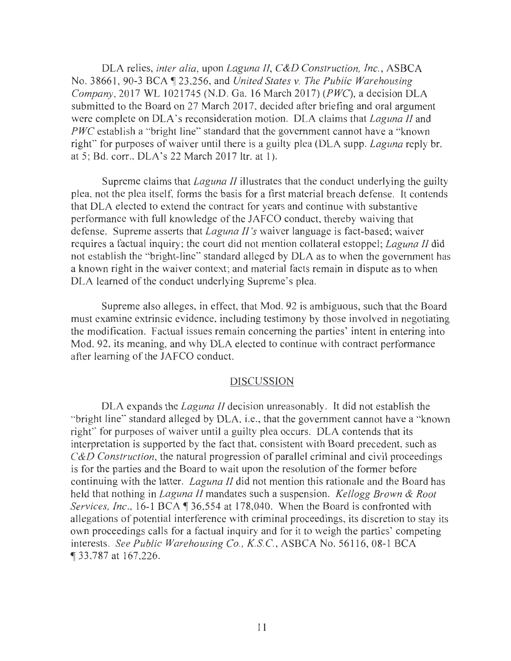DLA relies, *inter alia,* upon *Laguna II, C&D Construction, Inc. ,* ASBCA No. 38661 , 90-3 BCA ~ 23 ,256, and *United States v. The Public Warehousing Company,* 2017 WL 1021745 (N.D. Ga. 16 March 2017) *(PWC),* a decision DLA submitted to the Board on 27 March 2017, decided after briefing and oral argument were complete on DLA's reconsideration motion. DLA claims that *Laguna II* and *PWC* establish a "bright line" standard that the government cannot have a "known" right" for purposes of waiver until there is a guilty plea (DLA supp. *Laguna* reply br. at 5; Bd. corr., DLA's 22 March 2017 ltr. at 1).

Supreme claims that *Laguna JI* illustrates that the conduct underlying the guilty plea, not the plea itself, forms the basis for a first material breach defense. It contends that DLA elected to extend the contract for years and continue with substantive performance with full knowledge of the JAFCO conduct, thereby waiving that defense. Supreme asserts that *Laguna II's* waiver language is fact-based; waiver requires a factual inquiry; the court did not mention collateral estoppel; *Laguna II* did not establish the "bright-line" standard alleged by DLA as to when the government has a known right in the waiver context; and material facts remain in dispute as to when DLA learned of the conduct underlying Supreme's plea.

Supreme also alleges, in effect, that Mod. 92 is ambiguous, such that the Board must examine extrinsic evidence, including testimony by those involved in negotiating the modification. Factual issues remain concerning the parties' intent in entering into Mod. 92, its meaning, and why DLA elected to continue with contract performance after learning of the JAFCO conduct.

### DISCUSSION

DLA expands the *Laguna II* decision unreasonably. It did not establish the "bright line" standard alleged by DLA, i.e. , that the government cannot have a "known right" for purposes of waiver until a guilty plea occurs. DLA contends that its interpretation is supported by the fact that, consistent with Board precedent, such as *C&D Construction,* the natural progression of parallel criminal and civil proceedings is for the parties and the Board to wait upon the resolution of the former before continuing with the latter. *Laguna II* did not mention this rationale and the Board has held that nothing in *Laguna II* mandates such a suspension. *Kellogg Brown & Root Services, Inc.*, 16-1 BCA  $\parallel$  36,554 at 178,040. When the Board is confronted with allegations of potential interference with criminal proceedings, its discretion to stay its own proceedings calls for a factual inquiry and for it to weigh the parties' competing interests. *See Public Warehousing Co., K.S.C. ,* ASBCA No. 56116, 08-1 BCA <sup>~</sup>33 ,787 at 167,226.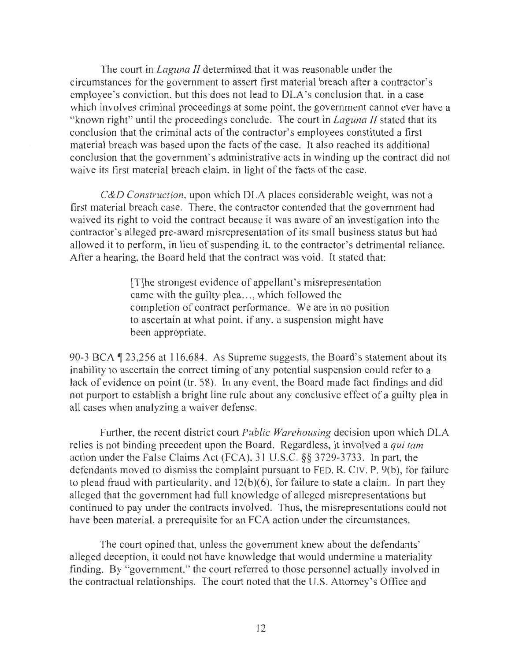The court in *Laguna II* determined that it was reasonable under the circumstances for the government to assert first material breach after a contractor's employee's conviction, but this does not lead to DLA's conclusion that, in a case which involves criminal proceedings at some point, the government cannot ever have a "known right" until the proceedings conclude. The court in *Laguna II* stated that its conclusion that the criminal acts of the contractor's employees constituted a first material breach was based upon the facts of the case. It also reached its additional conclusion that the government's administrative acts in winding up the contract did not waive its first material breach claim, in light of the facts of the case.

*C&D Construction,* upon which DLA places considerable weight, was not a first material breach case. There, the contractor contended that the government had waived its right to void the contract because it was aware of an investigation into the contractor's alleged pre-award misrepresentation of its small business status but had allowed it to perform, in lieu of suspending it, to the contractor's detrimental reliance. After a hearing, the Board held that the contract was void. It stated that:

> [T]he strongest evidence of appellant's misrepresentation came with the guilty plea..., which followed the completion of contract performance. We are in no position to ascertain at what point, if any, a suspension might have been appropriate.

90-3 BCA  $\parallel$  23,256 at 116,684. As Supreme suggests, the Board's statement about its inability to ascertain the correct timing of any potential suspension could refer to a lack of evidence on point (tr. 58). In any event, the Board made fact findings and did not purport to establish a bright line rule about any conclusive effect of a guilty plea in all cases when analyzing a waiver defense.

Further, the recent district court *Public Warehousing* decision upon which DLA relies is not binding precedent upon the Board. Regardless, it involved a *qui tam*  action under the False Claims Act (FCA), 31 U.S.C. §§ 3729-3733. In part, the defendants moved to dismiss the complaint pursuant to FED. R. CIV. P. 9(b), for failure to plead fraud with particularity, and 12(b)(6), for failure to state a claim. In part they alleged that the government had full knowledge of alleged misrepresentations but continued to pay under the contracts involved. Thus, the misrepresentations could not have been material, a prerequisite for an FCA action under the circumstances.

The court opined that, unless the government knew about the defendants' alleged deception, it could not have knowledge that would undermine a materiality finding. By "government," the court referred to those personnel actually involved in the contractual relationships. The court noted that the U.S. Attorney's Office and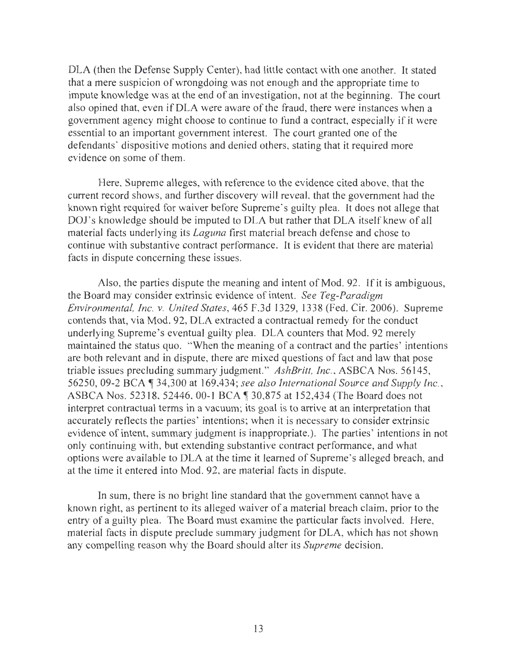DLA (then the Defense Supply Center), had little contact with one another. It stated that a mere suspicion of wrongdoing was not enough and the appropriate time to impute knowledge was at the end of an investigation, not at the beginning. The court also opined that, even if DLA were aware of the fraud, there were instances when a government agency might choose to continue to fund a contract, especially if it were essential to an important government interest. The court granted one of the defendants' dispositive motions and denied others, stating that it required more evidence on some of them.

Here, Supreme alleges, with reference to the evidence cited above, that the current record shows, and further discovery will reveal, that the government had the known right required for waiver before Supreme's guilty plea. It does not allege that DOJ's knowledge should be imputed to DLA but rather that DLA itself knew of all material facts underlying its *Laguna* first material breach defense and chose to continue with substantive contract performance. It is evident that there are material facts in dispute concerning these issues.

Also, the parties dispute the meaning and intent of Mod. 92. If it is ambiguous, the Board may consider extrinsic evidence of intent. *See Teg-Paradigm Environmental, Inc. v. United States,* 465 F.3d 1329, 1338 (Fed. Cir. 2006). Supreme contends that, via Mod. 92, DLA extracted a contractual remedy for the conduct underlying Supreme's eventual guilty plea. DLA counters that Mod. 92 merely maintained the status quo. "When the meaning of a contract and the parties' intentions are both relevant and in dispute, there are mixed questions of fact and law that pose triable issues precluding summary judgment." *AshBritt, Inc.,* ASBCA Nos. 56145, 56250, 09-2 BCA ¶ 34,300 at 169,434; *see also International Source and Supply Inc.*, ASBCA Nos. 52318, 52446, 00-1 BCA 1 30,875 at 152,434 (The Board does not interpret contractual terms in a vacuum; its goal is to arrive at an interpretation that accurately reflects the parties' intentions; when it is necessary to consider extrinsic evidence of intent, summary judgment is inappropriate.). The parties' intentions in not only continuing with, but extending substantive contract performance, and what options were available to DLA at the time it learned of Supreme's alleged breach, and at the time it entered into Mod. 92, are material facts in dispute.

In sum, there is no bright line standard that the government cannot have a known right, as pertinent to its alleged waiver of a material breach claim, prior to the entry of a guilty plea. The Board must examine the particular facts involved. Here, material facts in dispute preclude summary judgment for DLA, which has not shown any compelling reason why the Board should alter its *Supreme* decision.